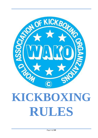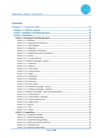

# **Contents**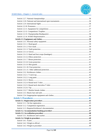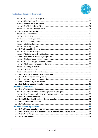

| Article 5.2. Participation of WAKO members in other dissident organizations 63 |  |
|--------------------------------------------------------------------------------|--|
|                                                                                |  |
|                                                                                |  |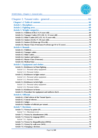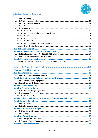

| Article 5. Illegal techniques (prohibited techniques and behaviour) 90 |  |
|------------------------------------------------------------------------|--|
|                                                                        |  |
|                                                                        |  |
|                                                                        |  |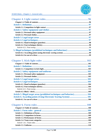

| Article 5. Illegal target areas (prohibited techniques and behavior) 104 |  |
|--------------------------------------------------------------------------|--|
|                                                                          |  |
|                                                                          |  |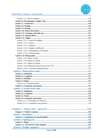

| 100 |
|-----|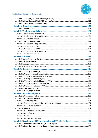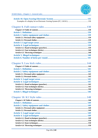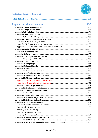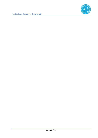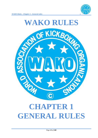



# **CHAPTER 1 GENERAL RULES**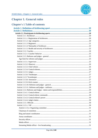

# <span id="page-13-0"></span>**Chapter 1. General rules**

# <span id="page-13-1"></span>**Chapter's 1 Table of contents**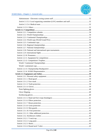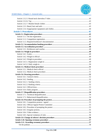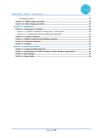

| Article 5.2. Participation of WAKO members in other dissident organizations |  |
|-----------------------------------------------------------------------------|--|
|                                                                             |  |
|                                                                             |  |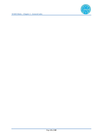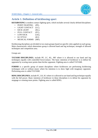

# <span id="page-18-0"></span>**Article 1. Definition of kickboxing sport**

**KICKBOXING** is modern contact fighting sport, which includes several clearly defined disciplines:

- POINT FIGHTING (PF),
- LIGHT CONTACT (LC),
- KICK LIGHT (KL),
- FULL CONTACT (FC),
- LOW KICK (LK),
- K1 STYLE  $(K1)$
- MUSICAL FORMS (MF).

Kickboxing disciplines are divided in two main groups based on specific rules applied on each group. Main characteristic which determines group is allowed hand and leg technique, strength of allowed techniques and competition area.

Groups are:

**TATAMI DISCIPLINES**, include PF, LC, KL, MF where it is allowed to use hand and leg techniques equally with controlled force/contact. The basic intention of kickboxer is to defeat his opponent by scoring more points than his/her opponent. Fighting area is called TATAMI.

**FORMS** is a specific group of tatami disciplines where kickboxers are performing kickboxing techniques with or without music where his intention is to show fight with imaginary opponent. Performing area is called TATAMI.

**RING DISCIPLINES**, include FC, LK, K1 where it is allowed to use hand and leg technique equally with the full power. Basic intention of kickboxer in these disciplines is to defeat his opponent by stoppage or winning more points. Fighting area is called RING.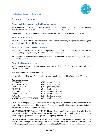

# <span id="page-19-0"></span>**Article 2. Definitions**

# <span id="page-19-1"></span>**Article 2.1. Participants in kickboxing sports**

All participants in kickboxing must act with honour, fair play, respect and honest and in accordance with these rules and the WAKO Statutes and By Laws as adapted time to time.

Participants in kickboxing sports are recognized as a: kickboxer, coach, referee and official

#### <span id="page-19-2"></span>**Article 2.1.1. Kickboxer**

KICKBOXER is an athlete who practice and participated in kickboxing competitions respecting and behaving in accordance with these rules.

#### <span id="page-19-3"></span>**Article 2.1.1.1. Registration of kickboxers**

Kickboxer must be registered in WAKO recognized national federations. Only registered kickboxers are allowed to participate in any WAKO kickboxing competitions.

For competitions kickboxer must be in possession of valid medical certificate stating "fit to fight", not older than 1 year.

#### <span id="page-19-4"></span>**Article 2.1.1.2. Age categories**

Kickboxers are divided in age and weight categories which are defined in Ring General Rules and Tatami General Rules.

Age is determined by the **year of birth**.

Legitimating - positive proof of age will be required at all championships (passport or ID-card).

| Age categories are:            |      |                       |
|--------------------------------|------|-----------------------|
| <b>CHILDREN</b>                |      | (CH) (boys and girls) |
| YOUNGER CADETS                 | (YC) | (boys and girls)      |
| <b>OLDER CADETS</b>            | (OC) | (boys and girls)      |
| <b>JUNIORS</b>                 | (J)  | (male and female)     |
| YOUNGER JUNIORS                | (YJ) | (male and female)     |
| <b>OLDER JUNIORS</b>           | (OJ) | (male and female)     |
| <b>SENIORS</b>                 | (S)  | (male and female)     |
| <b>MASTER CLASS (VETERANS)</b> | (V)  | (male and female)     |
|                                |      |                       |

**CHILDREN category (CH):** 7,8 and 9 years old. the age group is determined by the year of birth. In the year of the competition, the kickboxer can be 7, 8 and 9 years old. Children can participate in tatami disciplines point fighting and musical forms.

**YOUNGER CADETS Category (YC)**: 10, 11 and 12 years old. The age group is determined by the year of birth. In the year of the competition, the kickboxer can be 10, 11 and 12 years old. Younger cadets can participate in tatami disciplines point fighting and musical forms.

**OLDER CADETS Category (OC)**: 13, 14 and 15 years old. The age group is determined by the year of birth. In the year of the competition, the kickboxer can be 13, 14 and 15 years old. Older cadets can participate in tatami disciplines point fighting, light contact, kick light and musical forms.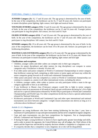

**JUNIORS Category (J):** 16, 17 and 18 years old. The age group is determined by the year of birth. In the year of the competition, the kickboxer can be 16, 17 and 18 years old. Juniors can participate in tatami disciplines point fighting, light contact, kick light and musical forms.

**YOUNGER JUNIORS category (YJ):** 15 and 16 years old. The age group is determined by the year of birth. In the year of the competition, the kickboxer can be 15 and 16 years old. Younger juniors can participate in ring disciplines: full contact, low kick and K1 Style

**OLDER JUNIORS category (OJ):** 17 and 18 years old. The age group is determined by the year of birth. In the year of the competition, the kickboxer can be 17 and 18 years old. Older juniors can participate in ring disciplines: full contact, low kick and K1 Style

**SENIORS category (S):** 19 to 40 years old. The age group is determined by the year of birth. In the year of the competition, the kickboxer can be from 19 to 40 years old. Seniors can participate in all kickboxing disciplines.

**MASTER CLASS (VETERANS) category (V):** 41 to 55 years old. The age group is determined by the year of birth. In the year of the competition, the kickboxer can be from 41 to 55 years old. Master class (veterans) can participate in tatami disciplines: point fighting, light contact and kick light

#### **Clarifications and exceptions**

- Children, younger cadets and older cadets can compete only in their age categories.
- Juniors (in tatami disciplines) and older juniors (in ring disciplines) can compete in senior categories only if kickboxer is already 18 years old
- If an older junior and junior competes at World or Continental Championships in senior category than kickboxer cannot go back competing as older junior or junior again and must stay within the senior categories going forward at all world and continental championships.
- Older junior and junior who has competed as a senior at World or Continental championship can continue to compete as a junior in all other international events, excluding the above.
- A children, younger cadets, older cadets or juniors can only participate within a team in the age category applicable to him as an individual.
- If any kickboxer in Master class (Veterans) category would like to fight in senior category kickboxer must be in possession of all medical check-up and certification declaring he's fit to fight and ask for a special authorization released by WAKO HQ to participate at World and Continental Championships and World Cups. For other competitions he/she has to have a special authorization released by National federation.
- Kickboxers participate at World and Continental Cups and other open international and national tournaments can move between categories / weight classes (maximum one above) as long as it is a division above kickboxer's weight.

#### <span id="page-20-0"></span>**Article 2.1.1.3. Beginners**

- Beginners are young kickboxers who have been training kickboxing for less than 1 year, have a maximum of 5 participations in cups and open tournaments and has never competed in regular categories.
- Cups and open tournaments can also host competitions for beginners. Not at championships (World, Continental and National Championships).
- If during the fight a young kickboxer is shown to have significantly greater knowledge and skills, and in order to protect the opponent, the Central Referee may call all judges, the Chief referee of the tatami and the Supervisor and decide by majority decision whether a competitor is a beginner or not.
- If a majority decides that a competitor is not a beginner, he or she will be disqualified.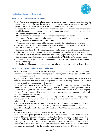#### <span id="page-21-0"></span>**Article 2.1.1.4. Nationality of kickboxer**

- At the World and Continental Championships, kickboxers must represent nationality for the country they represent, showing the official personal identity document (passport or ID or official residence card of permanent residence in the country they want to represent).
- Under special circumstances a kickboxer who already represented one national team on continental or world championships in any age category can change representation to another national team one time but the requirements for that is:
	- Official national confirmation of permanent residence in their new country.
	- The change of representation must be applied on to WAKO HQ, explaining the reason for the change at least one month in advance of the event
	- There must be a written agreement formal acceptance by the original country of origin.
	- Any speculation for such representation will not be allowed. Such can be punished for the kickboxer as well as for the national federation of new country.
	- Kickboxer cannot switch back again and participate for his origin or any other country in the future.
	- A kickboxer having two passports form different countries can only make a switch one time.
	- If kickboxer who already represented national team changing representation, it must be done according to a written agreement between the countries and applied to WAKO HQ for Written Approval.
	- At weigh-in official personal identity document must be shown to the registration/weigh-in officials in charge.
	- In Continental Championships competitors from other continents are not allowed to participate.

# <span id="page-21-1"></span>**Article 2.1.1.5. Health and security of kickboxers**

- WAKO is an official member of WADA, having fully adopted the World Anti-Doping Code. Every kickboxer, coach and official is obliged to understand, adapt and respect the WADA Code both in and out of competition.
- Any Kickboxer refusing to submit to a medical examination or anti-doping test before or after a fight, can be immediately disqualified or suspended pending full hearing. The same will occur in the case of an official encouraging such a refusal.
- Athletes who are chosen to be part of the WAKO Registered Testing Pool (RTP) are required to follow the instructions of WAKO Anti-doping Director and related service providers, which include the filling out the Competition Whereabouts form and forward it to the Anti-doping Director. Failure to comply will as a result of automatic suspension of their ranking and will lead to consequences as per the Code
- WAKO allow a maximum of 2 fights per day, during Continental or World Championships, World Cups and A/B/C Class events. in all ring sports, while there is no limited number of fights in the Tatami sports.
- A kickboxer will be allowed to fight in an International competition only after having been declared fit for it by a appointed doctor, recognized by the Federation under whose name the competition takes place, or by the Medical Committee of WAKO during Continental and World Championships.
- A medical physical examination is mandatory for each kickboxer
- Each kickboxer to participate in an international tournament must have an official statement from kickboxer's National Federation, attesting that kickboxer passed a pre-participation screening following kickboxer's national laws and WAKO Medical Rules and kickboxer is fit to take part to the current WAKO event. The "WAKO Medical Certification" form must be used for this purpose (see Appendix 19). This statement must be written in ENGLISH (no other languages are accepted), with the signature and stamp of both the Doctor appointed by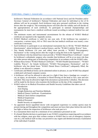

kickboxer's National Federation (in accordance with National laws) and the President and/or Secretary General of kickboxer's National Federation and must be individual (a list of fit athletes will not be accepted). Each kickboxer must give personal certificate to the visiting doctor after the weigh-in. The examining doctor will look after the validity and will decide on the appropriateness of each certificate. To participate in national championships and tournaments he must have a medical certificate issued according to national medical law and rules.

- The minimum exams and instrumental ascertainment for the release of WAKO Medical certificate are reported in the Appendix section.
- WAKO Medical certificate is valid for one year only. If the kickboxer has sustained a concussion, a serious injury, KO or TKO since the last medical certificate was issued, a new certificate is necessary.
- Each kickboxer to participate in an international tournament has to fill the "WAKO Medical Questionnaire", about kickboxer's medical history, and the "WAKO Liability Waiver" form.
- Any female kickboxer (14 year and older) must provide a "WAKO Non-pregnancy Declaration" to the visiting doctor after the weigh-in using the form in the Appendix 23.
- Any kickboxer who has dental brace must provide a "WAKO Dental Brace Certificate", issued by kickboxer's orthodontic surgeon who consider that kickboxer will be at no more risk than any other person taking part in kickboxing competitions in accordance with the WAKO rules.
- Without these forms ("WAKO Medical Certificate", "WAKO Health Questionnaire", "WAKO Liability Waiver", for female kickboxers "WAKO Non-pregnancy Declaration", and for kickboxer who has dental brace "WAKO Dental Brace Certificate") adequately filled, the athlete is not allowed to compete.
- Certificates and Medical forms can be submitted online in advance, in case WAKO has adopted a dedicated web-based computer system.
- A kickboxer will not be allowed to take part in a fight if they have a bandage on a wound, a cut, an injury, an ulceration, a laceration or blood flowing on the head or face, nose and ears included. They may be allowed to fight if the ulceration is protected by Collodion. This decision will be made by the doctor who examines the kickboxer on the day of the competition
- WAKO refers to its Medical Procedures and Health Security Guidelines that takes care of:
	- Introduction
	- Anti-Doping
	- Weight-Reduction and Nutrition Methods
	- Medical Fitness Certificate -Examinations
	- Medical Check before competitions
	- Medical Suspensions
	- Medical Personnel
	- Health Security at competitions
- An appointed doctor (qualified doctor with recognized experience in combat sports) must be present during and throughout the competition and must not leave their place before the end of the last fight or before the inspection of kickboxers who took part in it.
- In a tournament there must be a minimum of two ambulance personnel on site
- If a female Muslim declares to participate in any WAKO competition respecting and in accordance with her religion, must give their written consent to WAKO that in case of emergency (injuries, cuts etc.); the medical staff on duty can proceed to any urgent and deemed necessary examination of the individual if needed.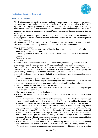

#### <span id="page-23-0"></span>**Article 2.1.2. Coaches**

- Coach is kickboxing expert who is educated and appropriately licensed for the sport of kickboxing. To participate in World and Continental championships and World cups, coach have to be licensed by WAKO IF. To participate in other international and national championships and kickboxing tournaments coach have to be licensed by national federation according national law and rules.
- Education and licencing are provided in front of World / Continental Championships and Cups by WAKO IF
- The purpose of seminars organized and leaded by Coach committee chairman and members is to teach, improve, share and spread knowledge, experiences and informing on newest developments in kickboxing sport.
- The seminars will deal with each kickboxing discipline according to actual WAKO rules to make sure that all coaches work in way which is important for the WAKO development
- Seminar should contain:
	- Verbal, video, PPT or any other way of introduction, presentation and explanations basic on development of kickboxing sport.
	- Verbal explanation of main issues that normal causes problem in order to harmonize the coaches.
	- Written tests/exams.
	- Registration.
- All coaches have to be registered on WAKO Membership system and duly licenced to coach
- Coaches must wear the national team / club's track suit, long trousers and training shoes.
- Coach is obliged to bring to the fighting area (ring or tatami): towel, plastic bottle of water to be used for drinking and mouth wash only. No other type of water bottle is permitted at fighting area (tatami or ring) for use by the kickboxers or coaches (glass bottle is forbidden).
- It is not allowed to carry bags or backpack, but it is allowed to carry a small document bag around the waist
- It is not allowed to wear cap or hat, sleeveless shirts, shorts, and slippers
- It is not allowed to wear clothes or parts of clothing from any other sports as well as clothing marked with logos or signs of other sports, or the characteristic uniform of any other sport
- A coach must obey the following rules during the fight:
	- Kickboxer must have one or maximum two coaches in his corner to assist him during the fight
	- They must be 18+ years old.
	- Only one coach may get into the fighting area.
	- Coach is not allowed to entering into ring or on tatami before or during the fight. Only during the breaks.
	- The coach must remain seated at all times on the chair provided and must not interfere or disrupt with the smooth running of the fight by gesture or deed. It's strictly prohibited to put arms on the platform, to stand up or enter the fighting are, including even the stairs, during the fight.
	- If the coach notices a material mistake of the Central Referee, an mistake in measuring time or recording points and results, the coach has the right to stand up and show to the Central Referee a T sign with his palms (Time) and request the break of the fight and correction of the material mistake. The coach has the right to request a break and correction of a material mistake 2 (TWO) times in one fight. The coach has no right to request a change in the Central referee's or Judge's decision which is not a material mistake. If the coach complains or comment to the Central referee's or Judges decision he will be warned.
	- Coach can abandon the fight on behalf of his kickboxer by tossing the towel into the fighting area, if the kickboxer is in trouble, except while the Central referee is counting a kickboxer.
	- The coach cannot make any comment to a referee or Judge on or off the competition area during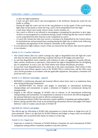or after the fight/competition.

- Coach can give short advice and encouragement to the kickboxer during the round but not loudly or yelling
- During the fight the coach can't be on the ring platform or on the tatami. If the coach during fight steps on the tatami or enters the ring, coach will be disqualified from this fight
- Coach must, before each round, remove stools, towels, buckets, etc.
- Any coach or official is not allowed to encouraging or prompting the spectators to give signs of advice or encouragement to a kickboxer during a round. If behaving like this coach or official can be suspended from their function in the competition in course.
- A coach who violates the rules may receive a warning or be disqualified by the Central referee for bad behaviour and prevented from coaching during the fight, day or whole event, following consultation and agreement of the Technical committee of the competition
- It is not allowed to fight without a coach. If they are removed by the referee, they must be replaced in two minutes.

#### <span id="page-24-0"></span>**Article 2.1.2.1. Coaches' behavior**

- The Central referee after two verbal warnings has right to disqualified from the fight the coach who does not obey his orders following a majority decision of the judges and supervisor.
- In case that disqualified coach continues with violation of rules, act aggressive towards officials, other coaches, kickboxers or spectators, Chief referee has right to disqualified him for all fighting day of competition. In such a case, the Chief referee must initiate disciplinary procedure.
- In case that coach disqualification is for whole day or the entire tournament, Chief referee of this fighting area must inform against coach to the WAKO HQ in written form, and the office must carry out the procedure in accordance with the applicable regulations. Disciplinary committee will prosecute such a case.

#### <span id="page-24-1"></span>**Article 2.1.3. Referees and judges - general**

- REFEREE is kickboxing educated and licensed official whose basic task is to implement these rules during kickboxing competitions.
- It is MANDATORY for referees and judges to participate in international kickboxing championships and tournaments to speak a minimum of English to communicate during the championships.
- English is the official language of WAKO and its referees in all international kickboxing championships and tournaments. In competitions at national or local level, the official language of the national federation may be used in official communication.
- All International referees (A/B) Class must have a good capability of speaking and reading English.
- Before, during and after their work on any kickboxing tournaments referees and judges will respect Referees' Code of Conduct and all rules of WAKO IF

#### **Age limit for referees and judges**

The official age for officiating at WAKO title tournaments as Central referee or Judge has to be 21 years minimum. There is no age limit for WAKO Referees and Judges as long as they are medically fit and healthy and can perform their duties on tatami or in the ring.

#### <span id="page-24-2"></span>**Article 2.1.3.1. Supervisor**

• Supervisor is named by Chairman of WAKO Referee Committee for each international WAKO competition among referee committee members or the best referees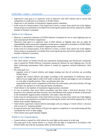

- Supervisor's main goal is to supervise work of observers and chief referees and to ensure that competition is conducted in accordance to WAKO Rules.
- Supervisor is the member of tournament Appeal protest committee.
- In the event of a formal protest, if the Supervisor is from a country from which one of the fighters whose protest was protested is excluded from resolving the protest and will be replaced by another member of Referee Committee.

#### <span id="page-25-0"></span>**Article 2.1.3.2. Observer**

- Observer is named by Chairman of WAKO Referee Committee for two or more fighting areas on each international WAKO competitions
- Observer's main goal is to supervise work of chief referees on fighting areas that are under his responsibilities and to ensure that competition on that areas is conducted in accordance to WAKO Rules.
- Observer is the member of tournament Appeal protest committee.
- In the event of a formal protest, if the Observer is from a country from which one of the fighters whose protest was protested is excluded from resolving the protest and will be replaced by another member of Referee Committee.

#### <span id="page-25-1"></span>**Article 2.1.3.3. Chief referee**

- The Chief referee on WAKO World and continental championships and World and Continental cups is named by WAKO Referee Committee among the referees for each fighting area. On the other kickboxing tournaments Chief referees is named by organizer national federation's chief referee.
- His main goal is to:
	- organize work of Central referees and Judges making sure that all activities are according WAKO Rules.
	- organize the Central referees and judges according to the nationalities of kickboxers and to observe every single fight in order to be ready to educate referees and judges in case of mistakes or to be able to handle protests. They can alternate their role.
	- responsible for the correct compilation of the draw list with results, and at the end they will sign the draw list and give it to the ring and tatami coordinators.
- Chief referee is the member of tournament Appeal protest committee
- In case of protests, they must follow procedures and they make a first-level decision. If the protester is not satisfied with their decision, the Chief Referee will explain all details of the protest to the tournament Appeal protest committee, who make a final decision.
- In the event of a formal protest, if the Chief referee is from a country from which one of the fighters whose protest was protested is excluded from resolving the protest and will be replaced by a Chief referee from another fighting area.
- Chief referee supervises Central referees and judges and can change a Central referee's decision only in case of a "material mistake".
- In musical forms the Chief Referee will give the signal to competitors to start performing and they coordinate the work of other judges.
- <span id="page-25-2"></span>• Chief referee must speak fluently English.

#### **Article 2.1.3.4. Central referees**

- Central referee is named by chief referee for each fight on the tatami or in the ring
- The main goal of the central referee is to ensure that the fight is conducted in accordance with WAKO Rules and with the maximum safety of both kickboxers.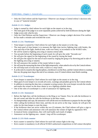• Only the Chief referee and the Supervisor / Observer can change a Central referee's decision only in case of "material mistake"

#### <span id="page-26-0"></span>**Article 2.1.3.5. Judges**

- Judge is named by chief referee for each fight on the tatami or in the ring
- The main goal of the judge is to score separately points achieved by both kickboxers during the fight
- Judge scores only what he sees.
- Only the Chief Referee and the Supervisor / Observer can change a judge's decision if he confirm he has made a mistake and switched the score.

#### <span id="page-26-1"></span>**Article 2.1.3.6. Timekeeper**

- Time keeper is named by Chief referee for each fight on the tatami or in the ring
- The main goal of time keeper is to measure the fight time (active fighting time with breaks, the start and stop of the fight, medical time, walk over time), in accordance to the WAKO rules.
- He will be seated at fighting area (ring or tatami) central table.
- Ten seconds before the beginning of each round, he will give the order "Seconds out."
- He will give the signal for the beginning of the round by raising the hand.
- He will give the signal for the end of each round by ringing the gong or by throwing pad in side of the fighting area (ring or tatami).
- He will announce the number of the round, before it starts.
- He will stop the measuring the time of the fight temporarily, when asked to do so by the Central referee.
- He will keep track of extra time with a watch or a stop watch.
- If, at the end of a round in the ring disciplines, a kickboxer is on the floor, and the Central referee is counting him out, the gong must ring at the end of two minutes, even if Central referee must finish counting.

#### <span id="page-26-2"></span>**Article 2.1.3.7 Scorekeeper**

- Score keeper is named by Chief referee for each fight on the tatami or in the ring
- Main goal of score keeper is to records all scores, warnings and penalties given by the Central referee
- In addition to entering the data into a computer scoring system, the score keeper records the results and marks the winner on the draw sheets or on a fighting schedule sheet.
- One of the roles of scorekeeper is a role of announcer for fighting area.

#### <span id="page-26-3"></span>**Article 2.1.3.8. Announcer**

- Before the fight they call the kickboxers to the Ring or on Tatami. First, he calls the kickboxer in the red corner and after he calls the kickboxer in the blue corner.
- At championships and cups, the announcer will call the next two kickboxers to prepare for the next fight.
- After calling the kickboxer three time, and they do not arrive at the ring / tatami, he will give the order for the time keeper to start the timer.
- If the kickboxer does not arrive within the two (2) minutes, the Chief referee will give a sign to the Central referee and announcer who will announce the winner of fight by opponent's WO.
- In musical forms competitions, they will read loudly each mark of judges.
- Announcer on the fighting area tatami / ring will be scorekeeper.

#### <span id="page-26-4"></span>**Article 2.1.3.9. Kick counter**

- Kick counter is named by Chief referee for each full contact fight in the ring
- Kick counter is mandatory in all official WAKO authorized competitions in full contact discipline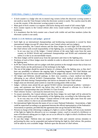

- A kick-counter is a Judge who sits in neutral ring corners (when the electronic scoring system is not used) or near the Time Keeper (when the electronic system is used). The coaches must be able to see the counter, if the electronic scoring system is not used.
- Main goal of Kick counter is to register valid kicks during each round of full contact fight
- Kick counter reports to the Central referee after every round number of missing kicks of each kickboxer.
- It is mandatory that the kick-counter uses a board with visible red and blue numbers (when the electronic system is not used).

#### <span id="page-27-0"></span>**Article 2.1.3.10. Referees and judges - general**

- Each fight on an international championships and kickboxing tournaments is scored by three international Judges (except PF where there is one Central referee and two judges).
- To ensure neutrality, the Central referees and the three Judges for each fight will be selected by the Chief referee with overall responsibility of the fighting area, according to the following rules:
	- In no way may two of the Judges / Central referees of the same fight come from the same country on WAKO World and continental championships and World and continental cups unless it is due to an uncontrollable reason.
- The three Judges will be seated away from the spectators and close to the fighting area.
- Positions of each of three Judges must be suitable in order to allowed them to have clear vison of the fighting area.
- In PF the Central Referee and two judges with their position in the triangle ensure that at least two of them clearly see the performance of the technique in the fight.
- The rest of the judges should be seated in barrier of a distance from the fighting area, so they don't have any possibility to influence the ongoing fight, if something happens. The Chief Referee and Supervisor must solve the issue without influence of the judges who are not involved in the fight.
- All Judges and Referees should undergo, in their own countries, a basic medical test before officiating in any official WAKO Championships. Their valid medical certificate should be brought with them during Championships and shown on demand to the Chief referee.
- Judges must use electronic point system to count the scoring points while on duty.
- Judges / referees must attend the pre agreed WAKO referee international academy / seminars / camp, and minimum one World cup before they will be allowed to officiate in a World or Continental Championships that year (WAKO A Class Events).
- Their referees' license / card must be renewed every two years.
- To ensure neutrality, the Central referees and the three Judges for each fight will be selected by the Chief referee with overall responsibility of the fighting area, according to the following rules:
	- In no way may two of the Judges / Central referees of the same fight come from the same country unless it is due to an uncontrollable reason.
- For international fights between the teams of two or more National Federation / Associations, a fight could be supervised according to an agreement between the official representatives of the Federation / Associations in question, provided that the agreement does not go beyond WAKO Rules.
- Persons in charge of the refereeing or judging of a fight or a series of fights, will not at any moment of the fight (or fights) be allowed to act as a manager, trainer, coach or second of a kickboxer or team of kickboxers taking part in a fight, nor act as an official in a fight in which a kickboxer from his country participates.
- In case that Judge / Referee does not respect WAKO rules and commits serious mistakes in performing his duty can be suspended and replaced during the fight by chief referee. His position will be taken by next available Judge / Referee upon the decision of chief referee.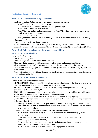

#### <span id="page-28-0"></span>**Article 2.1.3.11. Referees and judges - uniforms**

- The Referee and the Judges should be dressed in the following manner:
	- Navy-blue jacket with emblem of WAKO
	- Only a small WAKO badge is allowed on the lapel of the jacket
	- White WAKO shirt with short sleeves
	- WAKO bow tie (judges and central referees) or WAKO tie (chief referees and supervisors)
	- Black trousers without turn-ups,
	- Dark blue or black socks.
	- Black gym shoes without laces, heels and logos of any colour, with the exception of WAKO logo. (See appendix 7)
- His sight must be at least 6 dioptric per eye.
- A Central referee is not allowed to wear glasses, but he may wear soft contact lenses only.
- Spectacles/glasses is allowed for Judges / table officials only (not judges in point fighting fights).

#### <span id="page-28-1"></span>**Article 2.1.4. Referees and Judges - duties and responsibilities**

#### <span id="page-28-2"></span>**Article 2.1.4.1. Central referee**

The Central referee must:

- Check the mouth guards.
- Check the right positions of Judges before the fight.
- Make sure that a weakened kickboxer does not suffer unjust and unnecessary blows.
- They announce the winner by electronic scoring after the command of the Chief referee.
- In case of using scoring paper, at the end of the fight, gather and check the scoring papers of the three Judges.
- After verification, they must hand them to the Chief referee and announce the winner following command of Chief referee

#### <span id="page-28-3"></span>**Article 2.1.4.2. Central referee commands**

Central referee use following commands:

- **SHAKE HANDS** this command Central referee use at the beginning of the fight to give an order to kickboxers to touch the gloves and show respect to each other.
- **FIGHT** this command Central referee use at the beginning of the fight in order to start fight and each time in order to continue fight.
- **BREAKE** this command Central referee use to break a body to body position, after which each kickboxer must make one step back before continuing the fight.
- **STOP** this command Central referee use to order the kickboxer to stop fighting
- **STOP TIME** this command Central referee use to give order to time keeper to stop measuring active time of the fight.
	- Forming the letter **T** with hands, to give order for time keeper to stop the clock until referee says command **FIGHT**. When the central referee says **STOP TIME,** he must say the reason why he stopped the clock.

Central referee will give the order **STOP TIME** on these occasions:

- When he gives **official warning** to a kickboxer (opponent must immediately go to the neutral corner)
- When a kickboxer asks for stoppage of time by rising right hand (opponent must immediately go to the neutral corner)
- Wherever the fight is stopped, it must restart with both competitors approximately in the same positions (on tatami) or in centre (on ring).
- When sees it's necessary to correct a kickboxer's equipment or uniform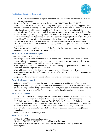- When sees that a kickboxer is injured (maximum time for doctor's intervention is 2 minutes for each kickboxer.
- To resume the fight, Central referee give the command "**TIME**" and then "**FIGHT**".
- If the Central referee feels a kickboxer is using time-stops to rest or to prevent his opponent from gaining advantage, a warning will be given by the central referee and the kickboxer may be following discussion with judges, disqualified for delaying the fight or refusing to fight.
- If a Central referee (after having so decided by majority decision with the three Judges) disqualifies a kickboxer or stops the fight, they must first indicate to the Chief of the Ring / Tatami the kickboxer who has been disqualified and give the reasons for stopping the fight, so that the Chief of the Ring / Tatami can inform the announcer, who will then, make a public announcement.
- In order not to disturb a close fight, the Central referee should not stand in the way or break in too early. He must indicate to the kickboxer, by appropriate signs or gestures, any violation of the regulations.
- In case of one or both kickboxers are deaf, the Central referee can use a touch by hand on the shoulders or on the arm to "stop" or "break" the fight.

#### <span id="page-29-0"></span>**Article 2.1.4.3. Central referee's power**

The Central referee has the power to:

- Stop a fight at any moment due to health and safety reasons, if he finds that it is too one-sided.
- Stop a fight at any moment if one of the kickboxers has received an unauthorized blow or is wounded, or if he considers a kickboxer unable to continue.
- Stop a fight at any moment if he finds the kickboxer behaving "unsportsmanlike". In such a case, Central referee can disqualify such kickboxer.
- Warn a kickboxer or stop the fight and give a penalty to a kickboxer for an offence.
- Warn, penalise or even disqualify a coach or a second who has broken the regulations or does not obey his orders.
- Disqualify, with or without a warning, a kickboxer who has committed an offence.

#### <span id="page-29-1"></span>**Article 2.1.4.4. Judge's duties**

- Judge is responsible for checking the uniform and equipment of kickboxers before the fight
- Judge 1 (red) and Judge 3 (blue) check the safety equipment and clothes of the kickboxers before entering the ring / tatami. Judges check hand wraps and gloves before kickboxers come into the ring / tatami with the gloves. The Central referee is obliged to check only mouth guards.

#### <span id="page-29-2"></span>**Article 2.1.5. Officials**

- OFFICIALS on each WAKO competition are all other persons which are involved in kickboxing sports, national and international federations and other kickboxing sport organizations.
- All Officials on championships and cups are WAKO Officials. They are not Officials of their own countries or federations. They must be completely neutral. At all times during championships they represent WAKO. They must show a positive, honest attitude and fair play to everyone.
- It is NOT allowed to change to their role from official to coach or competitor during the same championship.
- WAKO Officials are following persons:

#### <span id="page-29-3"></span>**Article 2.1.5.1. VIP**

- WAKO IF / WAKO Continental president
- Members of WAKO IF / WAKO Continental Board of directors
- Presidents of WAKO recognized national kickboxing federations or his representative
- Special guests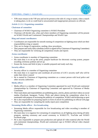

• VIPs must remain in the VIP area and not be present at the side of a ring or tatami, when a match is taking place, to do so could lead to unwarranted and inappropriate pressures on officials.

#### **Article 2.1.5.2. Organizing committee**

#### **Chairman of committee**

- Chairman of WAKO Organizing committee is WAKO President
- Chairman will decide who, when and where members of Organizing committee will be present on WAKO World and Continental Championships and World Cups.

#### **Ring and tatami coordinators**

- Coordinators are responsible for smooth running of competition on fighting areas which are their responsibilities (ring or tatami)
- They are in charge of registration, seeding, draw procedures.
- They prepare and verify daily schedules (which is signed off by Chairman of Organizing Committee)
- They are responsible for verifying all competition results and reports

#### **Arena coordinator**

- Arena coordinator is member of Organizing committee
- His main duty is to set up the arena, prepare hardware for electronic scoring system, prepare awarding ceremony podium and set up
- Ensure the Arena and field of play is suitable prepared and ready each day.

#### **Security officer**

- Security officer is a member of Organizing committee
- His main duty is to supervise and coordinate all activities of LOC's security staff who will be under their direct control/
- He is named by Chairman of Organizing committee as a contact person with local police and other security authorities

#### **Media officer**

- Media officer is a member of Organizing Committee appointed for each World and continental championships by Chairman of Organizing Committee and approved by Chairman of Media **Committee**
- Their main duties and responsibilities are publishing posts, articles, photos and short videos on social medias (Facebook, Instagram, Twitter, Flickr and others) during the competitions where he is nominated with purpose of increasing the publicity of competition, WAKO and kickboxing as sport
- He is also responsible for preparing reports in form of article for publishing on official web page
- They are responsible for compiling the media report post competition

#### **Streaming Media officer - live broadcasting**

- Streaming Media officer responsible for live broadcasting and video recording is member of Organizing committee.
- His main duty is to organize live streaming of competitions on all fighting areas during all daily program, opening ceremony and award ceremony to WAKO.TV, YouTube and WAKO Facebook page.
- He is also responsible to prepare post production and upload all video material after the World and continental championships, World and continental cups to WAKO official video channel (YouTube)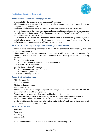#### **Administrator - Electronic scoring system staff**

- Is appointed by the Chairman of the Organising Committee
- The Administrator is responsible for collecting all registration material and loads data into a computer to prepare draw lists.
- With the Coordinators he makes the draw lists and distributes them to the official tables.
- He collects completed draw lists after fights are finished and transfers the results to the computer.
- He will make an official report of the Championship or Cup and distribute the official report to all representatives of national teams
- He is responsible for upload (web-Facebook) and distribution of official daily schedules, results and all other reports approval made by ring and tatami coordinators and Chairman on the World and Continental championships, World and continental cups.

#### **Article 2.1.5.3. Local organizing committee (LOC) members and staff**

Members of Local organizing committee of the World and continental championships, World and continental cups should be:

- Chairman of local organizing committee coordinator of all local activities in host country, he should be president of WAKO National federation of host country or person appointed by president
- Director Arena Operations
- Director of Security Operations (including Police contact)
- Director Local Staff/Volunteers
- Director Transportation Operations
- Director Accommodation/Hotel Operations
- Director Medical Operations
- Director Anti-Doping Operations

#### **Article 2.1.5.4. Medical team**

- Chief doctor on duty
- Paramedic on duty
- Medical technician on duty
- Anti-doping officer
- Medical team must have enough equipment and enough doctors and technicians for safe and quick intervention at all fighting's areas.
- Doctors must have experience in treating kickboxing specific injures.
- The Promoter is responsible to provide adequate medical team, with ambulance vehicle.
- WAKO Medical Procedures and Health Security Guidelines must be followed.
- Doctor must be ready for immediate intervention on the Referee's call. Before the Referee's call they cannot enter on the tatami or in ring.

#### <span id="page-31-0"></span>**Article 2.1.5.5. Others**

- Journalists
- Cameramen
- Photographers
- Security staff
- All above mentioned other persons are registered and accredited by LOC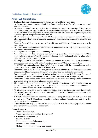

# <span id="page-32-0"></span>**Article 2.2. Competitions**

- The basis of all kickboxing competitions is honour, fair play and honest competition.
- Kickboxing competitions are organized with the authorization of WAKO and are subject to these rules and all applicable bylaws.
- No Athlete or national team may register for a World or Continental Championships, if they have not fulfilled their obligations as per the statutes in force at that time, in that year. In the case the event is before the various cut off dates, for payment of fees etc, they must have been complaint the previous year, Vis a vi, annual payment, receipt of all documentation etc.
- All international competitions must follow WAKO rules completely. Competitions at national level can adapt organizational part of rules to national regulations, but the rules of fighting disciplines must be fully respected.
- Results of fights will determine placing and final achievement of kickboxer, club or national team at the competition.
- All WAKO official competitions and official National competitions, amateur fights, prestige or title fights, must apply the WAKO rules in full
- All competitions and fights are on a voluntary basis.
- All kickboxers, coaches, officials, representatives, promoters and members of WAKO organizations must respect WAKO rules and the honour, dignity and moral values of all members, clubs, national federations and WAKO.
- All competitions on World, continental, national and all other levels must promote the development, popularization and rising quality of kickboxing as a sport and WAKO as an organization.
- All WAKO International competitions A/B/C Class must apply with the event application and be pre-approved to be included in the WAKO calendar.
- Prior to inclusion in the WAKO calendar, the promoter must submit a request for consent to organize an international kickboxing competition. The application form can be found in appendix 31
- Consent must be requested for all WAKO international competitions A/B/C Class and Continental Championships. (World championships are approved according to a special procedure)
- Continental championships and A class international tournaments must be requested minimum one year before, other tournaments minimum 6 month before.
- The organizer of the competition is obliged to submit an invitation brochure and a poster for verification and approval to the WAKO Organizing Committee before the announcement in the WAKO calendar and on the official website of WAKO.
- All international competitions must apply the SportData system of registration and processing of results
- International competitions not approved by the WAKO Organizing Committee cannot be included in the WAKO Calendar.
- National federations may not organize international competitions that are not approved and verified by the WAKO Organizing Committee, and any national federations are not allowed to participate in such competitions.
- National federation may be sanctioned for non-compliance with this decision (organization and/or participation in not-approved competitions).

#### **Competitions are:**

- World Championships
- World Cups (World Grand Prix Tournaments)
- Continental Championships
- Continental cups
- Regional international championships
- National championships
- National and international open tournaments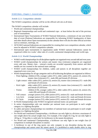#### <span id="page-33-0"></span>**Article 2.2.1. Competition calendar**

The WAKO competition calendar will be on the official web site at all times

The WAKO competition calendar will include:

- World and continental championships
- Regional championships and world and continental cups at least before the end of the previous year of tournaments
- International Open Tournaments of WAKO National federations, a minimum of one year before date of event (National federations are responsible for informing WAKO headquarters of dates and other details about Open tournaments) on the calendar there will also be other official activities such as seminars, meetings, etc.
- All WAKO national federations are responsible for creating their own competition calendar, which must be adjusted to WAKO competition calendar.
- International open tournaments in organization under WAKO national federations cannot be organized within two weeks' other side of a world, continental championships and world cups.

# <span id="page-33-1"></span>**Article 2.2.2. World Championships**

- WAKO world championships for all disciplines together are organized every second odd and even years.
- WAKO world championships for seniors and master class (veterans) categories are organized every odd year. Master class - veteran's results are recorded separately from seniors and their medals are not counted in the national team rankings
- WAKO world championships for children, cadets and juniors in all disciplines together are organized every even year.
- World championships for all age categories and in all kickboxing disciplines are organized as follows:
	- Point fighting: children (CH), younger cadets (YC), older cadets (OC), juniors (J), seniors (S), master class (veterans) (V) - male (M) and female (F) division
	- Light contact: older cadets (OC), juniors (J), seniors (S), master class (veterans) (V) male (M) and female (F) divisions
	- Kick Light: older cadets (OC), juniors (J), seniors (S), master class (veterans) (V) male (M) and female (F) divisions
	- Forms: children (CH), younger cadets (YC), older cadets (OC), juniors (J), seniors (S), - male (M) and female (F) division
	- Full contact: younger juniors (YJ), older juniors (OY), seniors (S) male and female divisions
	- Low kick: younger juniors (YJ), older juniors (OY), seniors (S) male and female divisions
	- K1 Style: younger juniors (YJ), older juniors (OY), seniors (S) male and female divisions
- In World championships only WAKO recognized national teams can participate
- In senior championships only one member per national team can participate in each weight category in a fighting discipline
- In cadets and junior championships two members of national team can participate in each weight category in a fighting discipline
- For World and continental Championships, a kickboxer can only fight in a division a maximum of one weight above his actual weight class. For example, if he weighs 65.5 kg, he can only fight in -69 kg or -74 kg (this is valid only for kickboxers in the tatami disciplines)
- For World and continental Championships, a kickboxer can only fight in one weight class (if competition in multiple disciplines in tatami)
- A kickboxer in one of the ring sports can only compete in one discipline during the same championships and cannot enter the tatami sports. It´s prohibited to make double starts in ring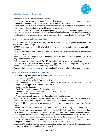

sports and mix starts during the championships.

- A kickboxer can compete in point fighting, light contact and kick light during the same championships but cannot enter the ring sports in the same championships
- Organizing Committee must pay special attention if possible, to avoid the start of fight at the same time in two or three disciplines where kickboxer is registered
- In occasion a kickboxer is called for a fight in point fighting, light contact or kick light at the same time, the kickboxer must choose which discipline with immediate response. In practice the fight in which kickboxer cannot participate based on above will be registered as lost by walk over (WO).

#### <span id="page-34-0"></span>**Article 2.2.3. Continental Championships**

Continental championships for all age categories and in all kickboxing disciplines are the same as for world championships, except:

- WAKO continental championships for all disciplines together are organized every second odd and even years.
- WAKO continental championships for seniors and master class (veterans) categories are organized every even year.
- WAKO continental championships for children, cadets and juniors in all disciplines together are organized every odd year.
- In Continental championships only WAKO recognized national teams may participate
- In Continental championships only WAKO IF approved and fully compliant and up to date countries and therefore national teams may participate.
- Continental championships cannot be open championships for national teams from other continents.

#### <span id="page-34-1"></span>**Article 2.2.4. World cups (World Grand Prix)**

- Each World Cup must follow the WAKO World Cup Minimum Criteria:
	- Tournament for at Minimum 3 days.
	- Arrival and Weigh-in day before start of fights.
	- Point Fighting, Kick Light and Light Contact it is recommended 2 x 2 minutes but may be adjusted with approval of technical director WAKO
	- Ring sports 3 x 2 minutes.
	- Daily Weigh-in is mandatory for ring disciplines.
	- Double and Mix starts in ring disciplines are strictly prohibited.
	- Official WAKO referees only.
	- World Cups are only open to WAKO members and their clubs/teams.
- A member of the WAKO Organizing Committee / Technical Committee must be present at all World Cups. Attendance is agreed with Chairman of Organising Committee.
- Every World Cup must agree to appoint a Chief referee of tatami and ring with Referee Committees approval.
- Every World Cup Arena configuration must be approved by WAKO Organizing Committee.
- Every World cup must be organized fully under the WAKO Rules applying the same criteria as for World and Continental championships kickboxer in one of the ring sports can only compete in one discipline during the same championships and cannot enter the tatami sports. It´s prohibited to make double starts in ring sports and mix starts during the championships in the ring.
- A kickboxer can compete in point fighting, light contact and kick light during the same championships but cannot enter the ring sports in the same championships
- Organizing Committee must pay special attention to avoid the start of fight at the same time in two or three disciplines where kickboxer is registered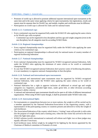

- Promotor of world cup is allowed to promote additional separate international open tournament at the same time and in the same venue applying criteria for open tournaments, but registrations, results and reports must be separate then for World Cup, and medals, trophies and certificates must be different.
- Participation on world cups is allowed for clubs and for national teams

#### <span id="page-35-0"></span>**Article 2.2.5. Continental cups**

- Every continental cup must be organized fully under the WAKO IF rules applying the same criteria as for World cups with exception:
	- Continental cup can be organized in less disciplines and less age and weight categories (even in the one discipline), but all categories must be according WAKO Rules

#### <span id="page-35-1"></span>**Article 2.2.6. Regional championships**

- Every regional championship must be organized fully under the WAKO rules applying the same criteria as for continental cups.
- Participation on regional championships is allowed only for national teams of country member of regional kickboxing federation

#### <span id="page-35-2"></span>**Article 2.2.7. National championships**

- Every national championship must be organized by WAKO recognized national federation, fully under the WAKO rules applying the minimum of same criteria as for world or continental championships.
- In case that WAKO recognized national federation don't practice some of kickboxing disciplines, it is not mandatory to organize national championships in that discipline.

#### <span id="page-35-3"></span>**Article 2.2.8. National and international open tournaments**

- Every national and international open tournament must be organized by WAKO recognized national federation, fully under the WAKO rules applying the same criteria as for world or continental cups
- National federation has a right to approve inclusion of additional or mixed age and weight categories (i.e. beginners, amended fight times, under green belt, or other divisions according kickboxer's ability criteria)
- A national and international open tournament should not be open to all clubs of different international organizations. When using WAKO name though, it shall be promoted under WAKO rules only.

#### <span id="page-35-4"></span>**Article 2.2.9. International fights**

- For tournaments or competitions between two or more nations, the weigh-in will be carried out by a member appointed by the National Federation/Association of the organizing country, with a representative of the participating country or countries present and allowed to verify the weight of each kickboxer.
- The Association/Federation of the country which hosts a "visiting" team will provide it with scales (for the purpose of weight check) and a training area, when the last visitor has arrived in the town where the fight takes place.
- WAKO referees (world, international or national) will referee each fight: two or three judges may equally officiate if necessary.
- Each kickboxer must, before weigh-in, be judged fit for fighting by the doctor appointed by the Chairman of Medical committee or Promotor of event.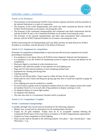#### <span id="page-36-0"></span>**Article 2.2.10. Promoters**

- The promoters of all international WAKO events should cooperate and liaise with the president of the national federations in a spirit of cooperation.
- The Promoter of the world championships and world cups shall communicate directly with the WAKO World President on all matters concerning the event.
- The Promoter of the continental championships and continental cups shall communicate directly with the WAKO IF and cc the Continental President on all matters concerning the event.
- The Promoter of the national championships and other open tournaments shall communicate directly with the WAKO National President on all matters concerning the event.

WAKO sanctioning fees of Championships and Cups differ and they are dealt directly by WAKO President in accordance with the decision of the Board of Directors.

# <span id="page-36-1"></span>**Article 2.2.11. Equipment for competitions**

Promoters of competition (championships or cups) must provide necessary equipment for normal proceeding of tournament:

- It is mandatory to use Sports Data in all WAKO events, Regional, National and International.
- It is mandatory to use the WAKO IF membership system to register all teams and athletes for all competitions
- Electronic digital or mechanical scales (minimum two)
- Amplifier with sufficient number of microphones for each fighting area.
- Flags and CD with national anthems of each competing national team
- Equipment for cleaning and drying floor
- Copying machine
- Timers for all official tables. Timers must be visible all times for the coaches
- Small pads for each Tatami and Ring (for giving sign that time of round has expired) or gongs for each ring
- Every fighting area must be marked by a number
- For each Tatami a pointer with two big black numbers (from 0 to 30) to display results and 4 small red numbers from 0 to 3 (2 at each side of big numbers) to display warnings or exits.
- An adequate display of current fight number
- An adequate time displays
- The rules also refer to a Tournament Checklist which is produced.

#### <span id="page-36-2"></span>**Article 2.2.12. Competition's Trophies**

#### **World / Continental Championships**

A suitable and high-class reward must be furnished for the following categories:

- Medals: first, second and two third places for all championship's divisions.
- Trophy for all gold medallist. Trophy must be of an acceptable standard befitting the Continental/World status of the event and in accordance to WAKO Organizational requirements
- Trophies for Team competition in Point Fighting.
- These awards shall be decided in the following manner: First place  $=$  3pts; Second place  $=$  2pts; Third place  $= 1$  pt.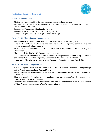#### **World / continental cups**

- Medals: first, second and two third places for all championship's divisions.
- Trophy for all gold medallist. Trophy must be of an acceptable standard befitting the Continental / World status of the event.
- Trophies for Team competition in point fighting.
- These awards shall be decided in the following manner: First place  $=$  3pts; Second place  $=$  2pts; Third place  $=$  1 pt.

#### <span id="page-37-0"></span>**Article 2.2.13. Championship Headquarters**

- The promoter shall select a Hotel which will serve as the tournament Headquarters.
- Hotel must be suitable for VIP guests and members of WAKO Organizing committee allowing them easy communication with the venue.
- WAKO has made a tournament checklist to be distributed to the promoters of World and Regional Championships.
- Checklist is defined in WAKO Organizational requirements
- If the promoter has to deviate from this checklist it is the promoters' responsibility to establish contact with WAKO and its Organizing Committee to find best possible solution.
- A tournament Checklist can be changed by the Organizing Committee or by the Board of Directors.

#### <span id="page-37-1"></span>**Article 2.2.14. WAKO Representative**

- A WAKO representative must be present in all WAKO World and Continental Championships and/or World, Continental and Regional Cups.
- The representative at a tournament can be the WAKO President or a member of the WAKO Board of Directors.
- They are responsible for seeing that all championships or cups are under WAKO rules and that all results will be WAKO official results.
- For each World and continental championship or World and continental cup the WAKO Board or WAKO President will nominate a WAKO Representative.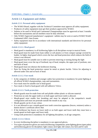# <span id="page-38-0"></span>**Article 2.3. Equipment and clothes**

#### <span id="page-38-1"></span>**Article 2.3.1. Personal safety equipment**

- The WAKO Board, together with the Technical Committee must approve all safety equipment.
- Producers of safety equipment must get their products approved by WAKO.
- Safeties to be used in World and Continental Championships must be approved at least 3 months before the tournaments and all members must be duly informed.
- Only WAKO Approved manufacturer's equipment / safeties may be worn or used at WAKO World/ Continental A/B/C class Events.
- Safety equipment must be in accordance with international standards and directives for personal safety equipment

#### <span id="page-38-2"></span>**Article 2.3.1.1. Head guard**

- Head guard is mandatory in all kickboxing fights in all disciplines except in musical forms.
- Head guard must be made from foam rubber or soft plastics or from compact sponge covered by leather. In fights, head guard which covers the face and head protection which reduces the field of vision is not allowed.
- Head guard must be suitable size in order to prevent removing or turning during the fight
- Head guard must cover the top of forehead, top of head, temples, the upper part of jawbone, ears and back of head.
- Head guard must not obstruct the kickboxers hearing.
- Parts for fixing the head protection cannot be metal or plastic buckle. Velcro for adjusting is allowed under chin and on back of head.

#### <span id="page-38-3"></span>**Article 2.3.1.2. Face mask**

- In the categories of children and younger cadets face protection is mandatory for point fighting at all official WAKO championships, cups and tournaments.
- Face mask must be suitable size to head guard.
- Face musk is fixed to head guard with self-adhesive Velcro.

# <span id="page-38-4"></span>**Article 2.3.1.3. Teeth protection**

- Mouth-guards must be made from soft and pliable rubber-plastic or silicone material.
- Protection on only the upper teeth or on both upper and lower teeth is allowed.
- Mouth-guard must enable free breathing and must be adapted to the competitor's mouth configuration and must not protrude outside the mouth in any way.
- Mouth-guards can be of any colour.
- It is not allowed to use a mouth-guard over tooth correction apparatus (braces, retainers) unless a dentist doctor's certificate allows that.
- If the kickboxer has braces on lower teeth or on both upper and lower teeth they must have a mouth-guard on both upper and lower teeth
- Using tooth protection is mandatory for all fighting disciplines, in all age categories.

# <span id="page-38-5"></span>**Article 2.3.1.4. Gloves**

- In every kickboxing discipline is mandatory to use approved gloves.
- Two types of protective gloves are used at kickboxing competitions: point fighting gloves (open palm) and kickboxing gloves for disciplines: light contact, kick light, full contact, low kick and K1 style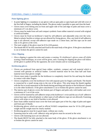

#### **Point fighting gloves**

- In point fighting it is mandatory to use gloves with an open palm or open hand and with full cover of the first half of fingers, including the thumb. The gloves make it possible to open and close the hand.
- Gloves must cover hitting area on front and upper side of fist and edge of palm and must cover a minimum of 5 cm above wrist.
- Gloves must be made from soft and compact synthetic foam rubber material covered with original or artificial leather.
- Gloves must be fixed on kickboxer's hand by self-adhesive and adjustable strip over the wrist. Metal or plastic buckles or stripes are not allowed for fixing gloves. Also, any kind of self-adhesive tape is not allowed, except self-adhesive tape made on a cotton base, and this tape can be used only to fix gloves at the wrist.
- The total weight of the glove must be 8 Oz (226 grams).
- The thumb MUST be fully attached and fixed to the main body of the glove. If the glove attachment is cut or broken the gloves cannot be used.

#### **Glove Slipping**

• Glove slipping is against the rules and creates a warning. If a kickboxer's gloves come off whilst scoring a hand technique, no score will be given, and a warning for slipping the glove will follow (if the glove is pulled off by the opponent, the score remains and no warning given).

#### **Kickboxing gloves**

- Gloves are produced from special foam rubber, synthetic, compact and soft material which is covered with genuine or artificial leather. Covered material must be less than half and foam material more than gloves weight.
- Gloves must make it possible for the kickboxer to completely clench his fist and keep his thumb in contact with other fingers.
- Gloves completely cover the kickboxer's fist with separate parts for fingers and thumb. The thumb is connected by a small strong strip to the rest of the glove. This strip keeps the thumb together with the fist to avoid separation of the thumb during punching and injuries to the kickboxer's thumb or to the other kickboxer. If the glove attachment is cut or broken the gloves cannot be used.
- The interior part of gloves covers the bottom part of fingers and palm only with leather and cover a minimum of 5 cm of the wrist.
- Gloves will be fastened by self-adhesive strips at the kickboxer's wrist and the use of self- adhesive cotton-base tape is allowed (plastic or other types of self-adhesive tape are not allowed). Fastening gloves with strips or any kind of buckles is not allowed.
- Inner foam rubber material must cover the front and upper part of the fist, edge of palm and upper and front part of thumb.
- Kickboxing gloves which are used in official WAKO competitions must be 10 Oz (283 grams) weight and the weight must be clearly marked.
- Kickboxing gloves must be in good repair, without any cracks.
- Fastening must be with a self- adhesive strip and gloves must be secured at the wrist.
- Gloves with fastening laces are not allowed.
- The thumb MUST be fully attached to the main body of the glove. If the glove attachment is cut or broken the gloves cannot be used.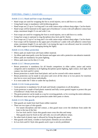#### <span id="page-40-0"></span>**Article 2.3.1.5. Hand and foot wraps (bandages)**

- Hand wraps are used for wrapping the fist to avoid injuries, not to add force to a strike.
- Using hand wraps is mandatory with kickboxing gloves.
- Hand wraps are 2,5 up to 5 m long and 5 cm wide cotton strips without sharp edges. Can be elastic.
- Hand wraps will be fastened on the upper part of kickboxer's wrists with self-adhesive cotton-base strips; maximum length 15 cm and wide 2 cm.
- Foot wraps are used for wrapping the foot to avoid injuries, not to add force to a strike.
- Using foot wraps is optional in ring disciplines (low kick and K1 Style).
- Foot wraps are 2,5 up to 5 m long and 5 cm wide cotton strips without sharp edges. Can be elastic.
- Foot wraps will be fastened on the upper part of kickboxer's ankle with self-adhesive cotton-base strips; maximum length 15 cm and wide 2 cm (using the tape is not allowed, must be covered by the ankle support to avoid damaging during the fight).

#### <span id="page-40-1"></span>**Article 2.3.1.6. Elbow protection**

- Elbow pads are made from soft foam-rubber material.
- An elbow pads must partly cover the forearm and upper arm with a protective non-abrasive material.
- Elbow pads are mandatory for point fighting.
- Elbow pads must not be thin  $(1.5 \text{ cm})$ .

#### <span id="page-40-2"></span>**Article 2.3.1.7. Breast protection**

- Breast protection is mandatory for all female competitors in older cadets, junior and senior categories and is mandatory in all fighting disciplines (point fighting, light contact, kick light, full contact, low kick and K1 style).
- Breast protection is made from hard plastic and can be covered with cotton material.
- Breast protection can be made in one piece and cover all the chest or in two pieces for insertion into bra to cover each breast individually.
- It is worn under the T-shirt or under the top (bodice).

#### <span id="page-40-3"></span>**Article 2.3.1.8. Groin protection**

- Groin protector is mandatory for all male and female competitors in all disciplines.
- Groin protector is made of hard plastic material and fully covers genital organs to protect this part of kickboxer's body from any injury.
- The groin protector can be made as a cup for covering genitals, or for covering the entire abdomen.
- Kickboxers must wear the groin protection under their pants or shorts.

#### <span id="page-40-4"></span>**Article 2.3.1.9. Shin guards**

- Shin guards are made from hard foam-rubber material.
- There are two types of shin guards:
	- For tatami disciplines and full contact, a shin guard must cover the shinbone from under the knee to the top of the feet.
	- For low kick and K1 Style shin guards must cover the shin and instep
	- Shin guards must be fixed on the calf with, two (2) self-adhesive strips.
- No other kind of plastic tape is allowed for fixing the guard to the shin.
- Shin guards with metal, wooden or hard plastic elements are not allowed.
- In Low kick and K1 Style shin guards sock's type is strictly prohibited.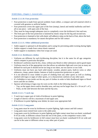#### <span id="page-41-0"></span>**Article 2.3.1.10. Foot protection**

- Foot protection is made from special synthetic foam rubber, a compact and soft material which is covered with genuine or artificial leather.
- Foot protection covers the upper part of the foot (instep), lateral and medial malleolus and heel all in one piece - with open sole of the foot.
- They must be long enough (adequate size) to completely cover the kickboxer's feet and toes.
- The front part of the foot protection is fastened by elastic strips for the big and second toes.
- Foot protection is fastened to feet with elastic self-adhesive strips on the back of feet, above the heel.
- Foot protection is mandatory for tatami disciplines and for full contact

#### <span id="page-41-1"></span>**Article 2.3.1.11. Other additional protection**

- Ankle support is optional in all disciplines and is using for preventing ankle twisting during fights
- Ankles support is made from cotton elastic material
- Ankle support is mandatory when foot wraps are used.

#### <span id="page-41-2"></span>**Article 2.3.2. Kickboxers clothes**

- Uniforms are different for each kickboxing discipline, but it is the same for all age categories which compete in particular discipline
- Kickboxer's uniforms must be dry, clean, without any blood or other substances and in good repair
- Uniforms must be of the appropriate size that allows an unbroken fight and cover just as many are defined for each part It should not be too long or too short, nor too narrow or too wide.
- Uniforms must not have any hard solid (metal, wooden, plastic) parts, built-in wires or other enhancers, clasps, patent shutter, buttons or built-in protection (protectors or pads)
- It is not allowed to wear clothes or parts of clothing from any other sports as well as clothing marked with logos or signs of other sports, or is characteristic uniform of any other sport.
- It's forbidden to turn inside out the any part of clothes in order to hide disallowed signs or blood traces and dirt on clothes.
- Sponsor advertising or logos may be worn on the cloth in the following manner:
	- Top, on the upper sleeve and/or shoulder area, and may not be larger than 10 x 10 cm (4" x 4").
	- Pants, on the side between the knee and the hip area.

#### <span id="page-41-3"></span>**Article 2.3.2.1. V-neck top**

- V-neck top is upper part of cloth of kickboxer in point fighting.
- Length of sleeves will be a maximum of mid upper arm.
- If kickboxer in point fighting wear dobok, he must wear appropriate belt

#### <span id="page-41-4"></span>**Article 2.3.2.2. Long pants**

- Long pants must be worn by kickboxers in point fighting, light contact and full contact
- Long pants must extend from waist to the ankle joint.
- Long pants worn by kickboxers in point fighting and light contact must have an elastic waistband 8-10 cm wide, in different colours from the rest of the pants, or the competitor wears a belt.
- Long pants worn by kickboxers in full contact must have an elastic waistband 8-10 cm wide and can be in the same or different colour as any other part of pants.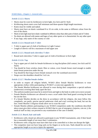#### <span id="page-42-0"></span>**Article 2.3.2.3. Shorts**

- Shorts must be worn by kickboxers in kick light, low kick and K1 Style
- Kickboxing shorts must cover half minimum and three-quarter thigh length maximum.
- Knees must be visible and naked.
- Shorts must have an elastic waistband 8 to 10 cm wide, in the same or different colour from the rest of the shorts.
- Shorts in kick light must have elastic waistband in different colour than other parts of shorts and of T-shirts
- No shorts are allowed with names and logos of any other sports or is characteristic for any other sport
- If any logo, only name of the country or club

#### <span id="page-42-1"></span>**Article 2.3.2.4. Round neck T-shirt**

- T-shirt is upper part of cloth of kickboxer in Light Contact
- Length of sleeves will be a maximum of mid upper arm

# <span id="page-42-2"></span>**Article 2.3.2.5. Round neck sleeveless T-shirt**

• Round neck sleeveless T-shirt is upper part of cloth of kickboxer in Kick light

# <span id="page-42-3"></span>**Article 2.3.2.6. Top**

- Top is upper part of cloth for female kickboxers in ring disciplines (full contact, low kick and K1 Style)
- Top should be from wireless elastic fibre or cotton, cover female breast sized enough to enable insert breast protection under the top
- Top should be that long to leave female stomach over the waistband uncovered.
- Straps over the shoulders should be 3 to5 cm.

# <span id="page-42-4"></span>**Article 2.3.2.7. Muslim female clothes**

- In order to respect all religion beliefs, WAKO allow female Muslim kickboxers to wear appropriate clothes while participating in WAKO's events (see appendix 6).
- The female Muslim kickboxers are allowed to wear during their competition a special uniform (underwear) covering their body apart the face.
- The uniform (underwear) must be in stretch form and tight to the body in order not to move around.
- Female Muslim kickboxers are allowed to wear a scarf under their head guard covering the head but not the face.
- If a female Muslim decides on the dress in accordance with her religion, she must follow this completely, not partly, precise special underwear cloth and scarf covering the head, but not the face. Some Muslim's religious trends allow not to wear the scarf.
- Female Muslim athletes participating in any WAKO competition under the conditions described above must give their written consent to WAKO that in case of emergency (injuries, cuts etc.); the medical staff on duty can proceed to any examination of the case if needed.

# <span id="page-42-5"></span>**Article 2.3.3. Beard, hair and nails**

- Kickboxers with a beard are allowed to participate in any WAKO tournaments, only if their beard has a reasonable length of not more than 2 centimetres.
- Kickboxers with a long hair must have their hair to be controlled so it does not disrupt the fight.
- The competitor must not have long nails on his fingers or on his toes. Nails should be cut to the appropriate length so as not to injure the opponent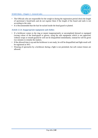

- The Officials who are responsible for the weigh-in during the registration period check the length of sportsman's beard/nails and do not register them if the length of the beard and nails is not according to the rules
- It is Recommended that the hair be tucked inside the head guard or platted.

#### <span id="page-43-0"></span>**Article 2.3.4. Inappropriate equipment and clothes**

- If a kickboxer comes to the ring or tatami inappropriately or uncompleted dressed or equipped (wrong colour of the head-guard or gloves, using the safe equipment which is not approved, without wraps or mouth-guard) he will not be disqualified immediately; instead he will be given two minutes to remedy the matters.
- If the allowed time is up and the kickboxer is not ready, he will be disqualified and fight result will be registered as WO.
- Wearing of spectacles by a kickboxer during a fight is not permitted, but soft contact lenses are allowed.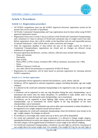# <span id="page-44-0"></span>**Article 3. Procedures**

# <span id="page-44-1"></span>**Article 3.1. Registration procedure**

- All WAKO competitions must use the WAKO Approved electronic registration system (at the present time service provider is SportData)
- All World, Continental Championships and Cups registrations must be done online using WAKO approved registration system
- Registration closes one (1) week (7 days) in advance of the World and Continental Championships, and a minimum of 3 days in advance of World and continental cups of weight control start date. Before registration closes, they will be visible on the SportData web site and responsible persons of national federations / clubs will be able to make corrections and changes.
- After the registration deadline (7 days before the start of the weight control for World or Continental Championships), registrations are closed and no changes are allowed except withdrawal of registration.
- Personal registration (kickboxers, coaches, referees, officials) must include following data:
	- Name and surname
	- Nationality
	- Date of birth
	- Photo (JPEG or PNG format, resolution 400 x 600 px minimum, maximum size 1 Mb)
	- Status
	- Medical Clearance Certificate
	- Any other official documentation as required by WAKO IF Board
- Registration for competition will be done based on personal registration by choosing selected WAKO competition.

# <span id="page-44-2"></span>**Article 3.1.1. On line registration**

- Each participant will be registered in selected role (kickboxer, coach, referee, official).
- Kickboxer will be registered in selected competition category (including discipline, age and weight category)
- It is allowed on the world and continental championships to be registered in only one age and weight category.
- A kickboxer can be registered in only one ring discipline during the same championships, cup or tournament and cannot enter the tatami disciplines. It´s prohibited to make double starts in ring discipline and mix starts during the same championships, cup or tournament.
- A kickboxer can be registered in point fighting, light contact and kick light during the same championships, cup or tournament but cannot register in the ring disciplines on the same championships, cup or tournament
- It is allowed on the World and continental cups and on other open tournaments in tatami disciplines to be registered in two weight categories (actual and one above)
- When registration for world and continental championships closes the kickboxer must remain in his age / weight category. No changes are allowed.
- If a kickboxer is overweight, they cannot move up or down, and will be disqualified.
- For world and continental cups and open tournaments, it is allowed to change weight category, meaning that kickboxer can move one category above or under even when on line registration is closed. The final category will be applied based on kickboxer's actual weight at the official weighing.
- For World and continental Championships, a kickboxer can only fight in a division a maximum of one weight above his actual weight class. For example, if he weighs 65.5 kg, he can only fight in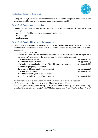

-69 kg or -74 kg (this is valid only for kickboxers in the tatami disciplines, kickboxers in ring disciplines must be registered in category according his actual weight)

#### <span id="page-45-0"></span>**Article 3.1.2. Competition registration**

- Competition registration starts on the first day of the official weigh-in and medical check and includes following:
	- accreditation (will be done based on personal registration)
	- official weigh-in
	- medical check

#### <span id="page-45-1"></span>**Article 3.1.3. Required kickboxer's documentation**

- Each kickboxer, at competition registration for the competition, must have the following certified documentation which they will hand over to the officials during the weighing control or medical examination
	- Passport or Identity Card
	- Official residence card of permanent residence in the country they want to represent if kickboxer isn't nationality of the national team for which he/she represents

| - WAKO Medical certificate                                         | (see appendix 20) |
|--------------------------------------------------------------------|-------------------|
| - WAKO Medical Questionnaire                                       | (see appendix 21) |
| - WAKO Dentist-orthodontist approval (if the kickboxer has braces) | (see appendix 22) |
| - WAKO Non-pregnancy declaration                                   |                   |
| (for female kickboxers age 14 year and older)                      | (see appendix 23) |
| - WAKO Liability Waiver                                            | (see appendix 24) |
| WAKO Parental / Legal Guardian Consent                             |                   |
| (for underage kickboxer, age 18 and younger)                       | (see appendix 26) |

- All documents must be clearly written and filled in at home just before the competition.
- All documents and certificates must have a kickboxer's passport or ID number
- For under-age kickboxers, parents or legal guardian, in addition to fulfilling "WAKO Parental / Legal Guardian Consent", also have to sign "WAKO Medical Questionnaire" and "WAKO Liability Waiver"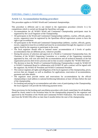# <span id="page-46-0"></span>**Article 3.2. Accommodation booking procedure**

This procedure applies to WAKO World and Continental championships.

This procedure is different and is not related to the registration procedure (Article 3.1.) for competitions which is carried out through the SportData web page

- Accommodation for all WAKO World and Continental Championship participants must be organized by the Local Organizer of the Championship.
- All participants in the World and Continental Championships (athletes, coaches, officials, guests, escorts, supporters) must be registered by the SportData official registration system to have the right to get accreditation
- All participants in the World and Continental Championships (athletes, coaches, officials, guests, escorts, supporters) must be accredited and must be accommodated through the organizer or travel agency hired by the organizer to participate in the event.
- The local organizer should offer to national teams' accommodation of 3 levels of quality accommodation that are different prices, wherever possible.
- During the process of selection and approval of a World or Continental Championship host, the Chairman of the WAKO Organizing Committee or a member of the Organising committee appointed by him, will visit and check the accommodation and all technical elements of the bid organization process (bid review process) and on that occasion complete the "WAKO Bid form".
- The decision to host the World or Continental Kickboxing Championship is made by WAKO IF or WAKO Continental Board in collaboration with WAKO IF and a contract will be signed with the organizer. By WAKO IF President and WAKO Continental President
- The contract regulates all rights and obligations of the local organizers of the championship, prices, services that are charged, as well as deadlines for applications, reservation of accommodation, payments and other details.
- The organizer must provide entries and reservations for accommodation by the official championships e-mail address to national kickboxing federations at least 120 days before the start of the championship.
- For booking and paying for accommodation and other costs of participating in the Championship, the local organizer will provide the following payment terms:

These provisions for the booking and cancellation procedure with clearly stated dates for all deadlines should be clearly stated in the invitation letter for the championship prepared by the organizer and approved by the President of the World and Continental WAKO Federation. The invitation letter is sent from the WAKO HQ office no later than 6 months before the start of the championship.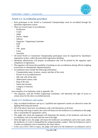

# <span id="page-47-0"></span>**Article 3.3. Accreditation procedure**

- Each participant in the World or Continental Championships must be accredited through the SportData registration system
- There are several types of accreditation:
	- Kickboxers
	- Coach
	- Judge
	- Doctor / Medic
	- Official
	- Organizer / Organizing Committee
	- Staff
	- VIP
	- VIP guest
	- Guest
	- Journalist
- All listed World or Continental Championship participants must be registered by SportData's registration system, within the prescribed registration deadlines
- SportData administrator will prepare accreditations that will be printed by the organizer upon completion of registration
- The organizer will ensure the possibility of printing on-site accreditations during official weighing (corrections or subsequently registered guests)
- Accreditation must include the following information:
	- Championship name, location, country and date of the event
	- Picture of an accredited person
	- QR code with all the data
	- Abbreviated country code
	- Flag of the state
	- Name and surname
	- Category or function
	- Status

(see examples of accreditation cards in appendix 18)

• The organizer, with the WAKO Organizing Committee, will determine the right of access to certain areas for the above accredited persons.

# <span id="page-47-1"></span>**Article 3.3.1. Kickboxers and coaches**

- Only accredited kickboxers and up to 2 qualified and registered coaches are allowed to enter the fighting field (ring and tatami)
- All of the above must have accreditation cards with themselves at all times
- By arriving at the ring or tatami, the coach will hand over the kickboxer's accreditation to the judge who is responsible for equipment's check.
- The judge who check the equipment will determine the identity of the kickboxer and leave the accreditation card on his desk until the end of the fight
- After the fight is over, the judge will return the kickboxer's accreditation card to the coach, unless the kickboxer or Coach is disqualified for unsportsmanlike conduct. Then the kickboxer's and or Coaches accreditation card is retained by the chief referee.
- In the case of KO, TKO or injury, the judge will hand over the kickboxer's accreditation card to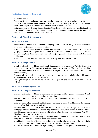the official doctor.

- During the fight, accreditation cards must not be carried by kickboxers and central referees and judges in point fighting, while all other officials are required to carry accreditation card (judges, score / time keeper, kick counter, chief referee, observer and supervisor)
- In the event of a coach being disqualified, the Chief Referee will revoke the accreditation of the coach - until the end of the fight or until the end of the competition, depending on the prescribed sanction, that is approved by the appropriate parties.

# <span id="page-48-0"></span>**Article 3.4. Weigh-in procedure**

#### <span id="page-48-1"></span>**Article 3.4.1. Scales**

- There shall be a minimum of two medical weighing scales for official weight-in and minimum one for control weigh-in prior to official weigh-in.
- Position of official scales will be in separate rooms (one for male, one for female) or in the same (larger) room that has adequate visual barriers. If such a room cannot be provided with visually separate weighing, then team members will weigh separately - first female and then male kickboxers.
- Position of control scales will be in adequate space separate than official scales

#### <span id="page-48-2"></span>**Article 3.4.2. Weigh-in official**

- Weigh-in official at World and continental championships is a member of WAKO Organizing committee named by Chairman of organizing committee. At other kickboxing championships, cups and tournaments, the national federation of organizers (promoter) appoints officials for control weighing.
- His main role to control and register actual age, weight category and discipline of each kickboxers according to his registration and personal ID
- During the weigh-in, two weigh-ins officials will be present, one female official and one male official.

#### <span id="page-48-3"></span>**Article 3.4.3. Weigh-in procedure**

#### <span id="page-48-4"></span>**Article 3.4.3.1. Registration weigh-in**

- Official weigh-in for world and continental championships will be organized minimum 48 and maximum 72 hours before the start of the competition
- The weigh-in must be done in a discrete manner, respecting both male and female's need for discretion.
- Only one representative of a national federation connecting to each national team may be present, but only when their own teams weigh-in.
- However, they are not allowed to intervene on any occasion. The national representative cannot be in physical contact with the kickboxer, they should stand away from the scales at least 1 meter.
- Each kickboxer must present his personal ID (national ID card or passport) and signed WAKO Liability waiver to weigh-in official.
- The weigh-in will be held according to the tournament schedule. The announced time in each competition is understood as official and must be respected.
- Weighing in outside the official announced time will not be allowed, except if the weigh-in is not considered as finished of those teams present within the announced time.
- For the first official weigh-in (in the registration period) there may be given possibility to weigh-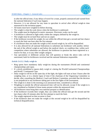in after the official time, if any delays of travel for a team, properly announced and warned from the national federation if such may happen.

- However, it is not allowed for any team to speculate in arrival after official weigh-in time announced in the invitation papers.
- All teams must have weighed-in before drawing.
- The weight is what the scale shows when the kickboxer is undressed.
- The weight must be displayed in metric measures. Electronic scales can be used.
- A kickboxer is allowed to fight solely within the category defined by the weigh-in.
- The weight must be on hard floor and not on carpet.
- If the kickboxer exceeds his weight, he can within the official time get a second and last chance to reach the limit one hour after the first attempt.
- If a kickboxer does not make the weight at this second weigh-in, he will be disqualified.
- It is also allowed for all national federations to substitute one kickboxer with another, before the end of the official weigh-in and before the medical check, on condition that, within each competition where substitutes are allowed, the kickboxer in question has been registered as a reserve for that, or in any other weight category.
- Any speculation or deliberate actions that will question or break the above rules will be sanctioned, both for kickboxers involved and the national federation responsible.

#### <span id="page-49-0"></span>**Article 3.4.3.2. Daily weigh-in**

- Ring sports have mandatory daily weigh-ins during the tournament (World and continental championships and cups).
- It´s strictly prohibited to ignore daily weigh in´s during the World/Continental Championships and World / Continental Cups.
- Daily weigh-in will be on the same day of the fight, the fights will start at least 3 hours after the weighing time, or in a shorter lapse of time if the chairman of the Organizing Committee so decide, after consulting the Medical, Coach and Referee Committee, provided that the decision is not prejudicial to any kickboxer taking part in the first fights of the tournament.
- The weigh-in is done in the morning at an announced time, considered as official.
- Weighing in outside the official announced time will not be allowed, except if the weigh-in is not considered as finished of those teams present within the announced time.
- All kickboxers must bring their own national passport as identification.
- If the kickboxer exceeds their weight, they can within the official time get the second and the last chance after 45 minutes after the first attempt to reach the limit.
- The weight registered on that occasion is final.
- If the kickboxer does not make the weight at this second weigh-in he will be disqualified by technical disqualification.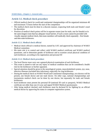# <span id="page-50-0"></span>**Article 3.5. Medical check procedure**

- Official medical check for world and continental championships will be organized minimum 48 and maximum 72 hours before the start of the competition
- The medical check must be done in a discrete manner, respecting both male and female's need for discretion.
- Position of medical check points will be in separate rooms (one for male, one for female) or in the same (larger) room that has adequate visual barriers. If such a room cannot be provided with visually separate medical check, then team members will medically check separately - first female and then male kickboxers.

#### <span id="page-50-1"></span>**Article 3.5.1. Medical check official**

- Medical check official is medical doctor, named by LOC and approved by chairman of WAKO Medical committee.
- His main role is to control and collect valid WAKO medical certificate and WAKO medical questioner, and to determine gender of kickboxer and to examine actual physical condition of each kickboxer, according to his registration and personal ID

#### <span id="page-50-2"></span>**Article 3.5.2. Medical check procedure**

- The local Doctor must carry out a general physical examination of each kickboxer.
- This exam is aimed to rule out any injury or medical condition that can be considered a health risk for the kickboxer or his/her opponent.
- Special attention should be given to the neurological system, musculoskeletal system, eye, nose, infective illnesses (included skin infections), especially for ring kickboxers
- During the medical check on WAKO World and Continental championships, two doctors will be present, one female doctor and one male doctor. On other cups, national championships and tournaments medical check can be done by one doctor, but separately for male and female kickboxers
- Each kickboxer must present his personal ID (national ID card or passport), WAKO Medical certificate not older than one (1) year and signed WAKO Medical questionnaire.
- After being medical checked, each kickboxer must be declared fit for fighting by an official medical doctor by approving his status in computer registration system.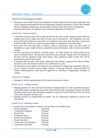# <span id="page-51-0"></span>**Article 3.6. Drawing procedure**

- Drawing on the WAKO World and continental championships and World and continental cups will be organized and leaded by WAKO Organizing committee minimum 12 hours after finished official competition registration and minimum 24 hours before the start the competitions.
- Drawing will be done according to final confirmed registration of kickboxers.

#### <span id="page-51-1"></span>**Article 3.6.1. General criteria**

- Competitors from the same club or national teams in the same weight category must be split into separate parts (one in upper, the other in lower part of drawing list - the competitors can only meet in the final). If there are more than two kickboxers from same club, then they cannot meet in the first fight if there are at least the same number of competitors from other clubs.
- Every draw list must have data as follows: name of tournament, place and date, name of discipline, sex, age, weight division, competitor's name and surname, club or nation and number of fight.
- All draw lists must be printed in 3 official copies for Chief referee, for official table and for notice or bulletin board - all three lists must be the same and any changes must be repeated on all three with the signature of the Chief referee. Also, unofficial copies of draw lists will be distributed to national team chiefs.
- Completed official copies with results, stamp and Chief referee's signature are official WAKO documents and will be kept in archives for a minimum of 2 years.
- No alterations can be made to drawing list once produced by Organizing committee. Only in a case of material mistake (wrong weight category, wrong age division, wrong discipline by WAKO Administration) which must be approved by chairman of Organizing Committee in writing.

#### <span id="page-51-2"></span>**Article 3.6.2. Seeding**

• Seeding for World championships will be based on the below criteria

#### <span id="page-51-3"></span>**Article 3.6.2.1. Seeding criteria**

- Seeding positions for the world and continental championships for each competition category will be determinate considering only results achieved in the same competition category (the same discipline and the same age and weight category), on previous events within the two-year period of the same discipline and age class.
- Seeding positions are determinated on public way by Organizing committee in front of the official draw

#### <span id="page-51-4"></span>**Article 3.6.2.2. Ranking criteria**

- is based on an accumulation of points in the previous two calendar years.

- World Champion 100 points
- Continental Champion 70 points
- World Silver 70 points
- Continental Silver 50 points
- World Cup Champion 50 points
- World Cup Silver 30 points
- Continental Cup Champion 20 points
- Continental Cup Silver 10 points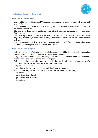

#### <span id="page-52-0"></span>**Article 3.6.3. Official draw**

- Draw will be done by Chairman of Organizing committee on public way at previously announced scheduled time.
- It will be done by WAKO Approved Drawing electronic system (at the present time service provider is SportData)
- The final draw sheets will be published on the official web page maximum one (1) hour after finishing draw
- In case of any material mistake, it is possible for national teams to send official notification to organizing committee, but not later than one (1) hour after the publishing the draw on the official web page
- Organizing committee will act based on notification and come with final decision not later than one (1) hour after expired time for official notifications.

#### <span id="page-52-1"></span>**Article 3.6.4. Daily program**

- Daily program at the World and Continental championships will be determinated by Organizing Committee and approved by chairman of Organizing committee
- Daily program for the first day of the competition will be published maximum three (3) hours after the finish of the draw, on the official web page
- Daily program for the rest of the days will be published on official web page maximum two (2) hours after finished the last fight of that day, for the next day.
- Daily program includes
	- schedule of the fight by numbers for each fighting area separately
	- fight data (category, position red or blue, kickboxers' name and nationality)
	- start time
	- provisional time schedule
	- provisional time of breaks
	- finish time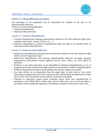

# <span id="page-53-0"></span>**Article 3.7. Disqualification procedure**

Any participant in the competition may be disqualified for violation of the rules or for unsportsmanlike behaviour.

There is a two kind of disqualification:

- technical disqualification
- behavioural disqualification

#### <span id="page-53-1"></span>**Article 3.7.1. Technical disqualification**

- Technical disqualification meaning nonintentional violation of the rules during the fight (exits, warnings, minus points, number of kicks, etc. …)
- Kickboxer disqualified by technical disqualification keeps the right to be awarded based on achievement before disqualification.

#### <span id="page-53-2"></span>**Article 3.7.2. Behavioural disqualification**

- Behavioural disqualification meaning hard and intentional violation of the rules during the fight which can lead to opponent's injury.
- Behavioural disqualification also meaning unsportsmanlike behaviour (swearing, shouting, unappropriated gesticulations towards opponent and his coach, referee, any other official or spectators.
- Kickboxer or any other participant can be disqualified by behaviour disqualification in case of irregular protest of the decision of the fight and obstruction and delay of further scheduled program
- Kickboxer disqualified by behavioural disqualification lose the wright to be awarded.
- Any other official can be disqualified from the single fight, on daily basis or from whole tournament according to the level of his violation of rules. Decision about disqualification on daily basis or from whole tournament will be made by Tournament Committee.
- Chairman of tournament Appeal protest committee inform about such disqualification of participant to the WAKO HQ in written form, and the office must carry out the procedure in accordance with the applicable regulations. Disciplinary committee will prosecute such a case.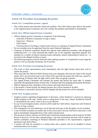

# <span id="page-54-0"></span>**Article 3.8. Procedure of prompting the protest**

#### <span id="page-54-1"></span>**Article 3.8.1. Competition protests / appeal**

• The written protest must describe clearly the problem. The Chief referee must deliver the protest to the Appeal protest Committee who will consider the problem and handled it immediately.

#### <span id="page-54-2"></span>**Article 3.8.2. Official Appeal Protest Committee**

- Official Appeal protest Committee is composed of the following:
	- Chairman of Referee Committee of ring or tatami
	- Supervisor / Observer
	- Chief referee
	- Technical director for Ring or Tatami (who will act as a chairman of Appeal Protest Committee)
- No two members may be appointed from the same National Federation.
- Chairman of Referee committee should also appoint three additional members with designated numbering from 1 to 3 that automatically replace any of the originally appointed Appeals Jury members in a conflict of interest situation (same nationality, family relationship by blood, etc... or involved in the alleged incident or issue)
- The following sequence must be followed when making a protest. It is hoped that at each stage the priority is for an amicable resolution, but if not then.

#### <span id="page-54-3"></span>**Article 3.8.2. Procedure of prompting the protest**

- The coach or their representative must immediately after the fight declare about their wish to submit the protest.
- They must take the Official WAKO Protest Form (see Appendix 28) from the Chief of the ring  $\&$ tatami, fill it out and return back to the Chief of the ring with the protest fee (100 euro, payed infront) during 10 minutes after the fight which result, they are going to protest.
- The Appeal Protest Committee will examine the protest and declare the result after 15 minutes maximum after getting the protest. It takes only 15 minutes total for prompting and examine the protest.
- Official Appeal protest committee review protest and make final decision.
- If the protest is found invalid, the deposit (protest fee) will be donated to WAKO.
- If the protest is successful, decision will be changed and the protest fee will be refunded.

#### <span id="page-54-4"></span>**Article 3.8.3. Irregular protests**

- Irregular protests regarding disagreements of decisions, where kickboxer's protests by delaying further program in the ring / tatami, such as sitting down in the ring / tatami, decided by himself or stimulated by his coach / team to do so is not allowed
- In case of such irregular protest, reaction will be made by Chief referee, Supervisor and Technical director of ring or tatami.
- The consequence for such behaviour can be that the total team of the discipline can be excluded.
- I case of further escalation of conflict due to this action and if security staff has to intervene, it will lead to immediately disqualification of the whole national team.
- The decision of above situation on World and Continental championships will be made by WAKO Board of directors. On the other championships, cups and tournaments decision will be made by interim committee consisting of National federation president or his representative, organizer (promoter) and chief referee.
- A protest will only be accepted in a written letter and a protest will not be handled if actions mentioned above are in place.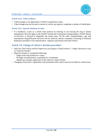#### <span id="page-55-0"></span>**Article 3.8.4. Video evidence**

- Video footage is not applicable to WAKO competition events.
- Video footage may not be used to resolve or review any queries, complaints or points of clarification.

#### <span id="page-55-1"></span>**Article 3.8.5. Special violations of rules**

• If a kickboxer, coach or a whole team protests by entering or not leaving the ring or tatami immediately after the fight on the WAKO World and Continental championships, WAKO Board of Directors is allowed to disqualify the whole team. On the other championships, cups and tournaments disqualification decision will be made by interim committee consisting of National federation president or his representative, organizer (promoter) and chief referee.

# <span id="page-55-2"></span>**Article 3.9. Change of referee's decision procedure**

- Only the Chief referee and the Supervisor can change a Central referee's / Judge's decision in case of "material mistake".
- Material mistake is considered following:
	- Judge switch the kickboxer's corner
	- Wrongly recorded points or penalties by scorekeeper
	- Significant wrongly application of the rules by Central referee
- Changing of decision is applicable with immediate effect and it must be recorded in written form.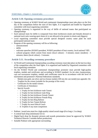

# <span id="page-56-0"></span>**Article 3.10. Opening ceremony procedure**

- Opening ceremony at WAKO World and continental championships must take place on the first day of the competition before the start of first fights. It is organized and leaded by Organized committee with local organizing committee
- Opening ceremony is organized in the way of defile of national teams that participated on championships
- Each national team for defile is composed from three kickboxers (male and female) dressed in national track suits wearing sport shoes (it is not allowed to be present in shorts and slippers)
- Local organizing committee must provide special designed country name plate for each participated national team
- Program of the opening ceremony will be as following:
	- announcement
	- defile
	- welcome speeches (WAKO president, WAKO president of host country, local national VIP)
	- cultural program which consist from music (local culture) 3 minutes; music (modern) 3 minutes; dance (local culture) - 3 minutes

# <span id="page-56-1"></span>**Article 3.11. Awarding ceremony procedure**

- At World and Continental championships awarding ceremony must take place on the last two days of the competition after the final fights. It is organized and leaded by Organized committee with local organizing committee.
- On the WAKO World and continental championships promotor must provide high-quality trophies, medals and certificates and according to WAKO standard. On the other championships, cups and tournaments trophies, medals and certificates must be in accordance with the level of tournament and promotor's National federations standards.
	- Medals (one gold, one silver and two bronze medals (100 mm die cast medal) (see appendix 16)
	- Trophies for the winner (suitable for the prestige of the event)
	- Certificates for the medal winners
	- Certificates of Attendance
	- Special Awards
		- 1. Trophy for best kickboxer male Tatami
		- 2. Trophy for best kickboxer male Ring
		- 3. Trophy for best kickboxer Female Tatami
		- 4. Trophy for best kickboxer Female Ring
		- 5. Trophy for best Ring Referee
		- 6. Trophy for best Tatami Referee
		- 7. Trophy for most Ethical Coach
		- 8. Trophies if any team competition
- Podium / award area must be a high-quality raised award stage (8 m long x 3 m deep)
- A central back drop (minimum) 5x5 m
- Digital back drop for dynamic pictures and awards presentation (must be approved by WAKO Technical Director 3 months before production)
- Suitable Podium with appropriate surrounding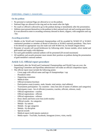#### **On the podium**

- No personal or national flags are allowed at or on the podium.
- National flags are allowed in the ring and on the tatami after the fight.
- No coach or official is allowed to go to the podium during or immediately after the presentation.
- Athletes must present themselves to the podium in their national track suit and wearing sport shoes. It is not allowed to enter to awarding ceremony dressed in shorts, slippers, with sunglasses and cap / hat.

#### **Awarding procedure**

- Medals at the World and Continental championships will be awarded by WAKO IF or WAKO continental president or member of Board of directors or WAKO national presidents. They have to be dressed on appropriate way (for male suit with WAKO tie, for female elegant dress)
- Presenter of awards will award kickboxers by following order: bronze medals, silver medal and gold medal and trophy with diplomas
- For each gold medallist national anthem will be presented (20 second maximum)
- All medelists and awards presenter must remain their position on podium during the presentation of gold medallist's national anthem

# <span id="page-57-0"></span>**Article 3.12. Official report procedure**

- Immediately after the World and Continental Championships and World Cups are over, the Organizing Committee and SportData administrator will make an official competition report.
- The official report must include the following points:
	- Cover page with official name and logo of championships / cup
	- President's letter
	- Organizing committee
	- Medical team
	- Official invitation brochure
	- Participation count (country, male, female, total entries, total athletes)
	- Tournament participation by countries entry lists (list of names of athletes and categories)
	- Participants count list of officials (countries, coaches, officials, referees, total)
	- Official registrations coaches
	- Official registrations officials
	- Official registrations referees
	- Draw sheets and form score lists (with results)
	- Official results by categories
	- Medals by nations
	- Medals by age categories
	- Medals by discipline
	- Special awards
	- Medical report (with injuries statistics)
	- Media report YouTube, Facebook, Instagram (views, visits, reach)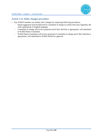

# <span id="page-58-0"></span>**Article 3.13. Rules changes procedure**

- Any WAKO member can initiate rule's changes by respecting following procedures:
	- Initial suggestion must be delivered to committee in charge in written form (see Appendix 30) with explanations in English language
	- Committee in charge will review proposal and if they find that is appropriate, will submitted to WAKO Rules Committee
	- WAKO Rules Committee will review proposal of committee in charge and if they find that is appropriate, will submitted to WAKO Board for approval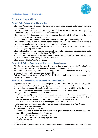# <span id="page-59-0"></span>**Article 4. Committees**

# <span id="page-59-1"></span>**Article 4.1. Tournament Committee**

- The WAKO President will appoint the members of Tournament Committee for each World and continental championships
- The Tournament committee will be composed of three members: member of Organizing Committee, WAKO Board member and LOC president
- The Chairman of the Tournament committee is appointed member of Organizing Committee and will hold the position of Tournament Director.
- It is mandatory that all members of the Tournament Committee speak fluently English.
- The Committee meets in front of tournament for which they are appointed and prepare all activities for smoothly running of the tournament fully respecting WAKO rules
- If necessary, they can appoint other officials as members of tournament committee and initiate other meetings during tournaments.
- They will together with the promoter take care of the event / promotion / tournament and make sure everything is arranged according to the WAKO rules.
- Any complain made by participants regarding conditions of tournament has to be cleared by the tournament committee or through the WAKO President.
- They will report to the WAKO President.

#### <span id="page-59-2"></span>**Article 4.1.1. Referee Committees of Ring sports / Tatami sports**

- The Chairman of each Committee is responsible to name Supervisors / observers for Tatami or Rings
- With Supervisor deploy Central referees and judges for Tatami and Rings.
- With each Supervisor they check tatami, rings, official table equipment, referee and judge uniforms and they will permit the start of competition.
- Referee Committees are named by WAKO Board of Directors and stay in charge for 4 years unless decided by the WAKO Board.

#### <span id="page-59-3"></span>**Article 4.1.1.1. International referee seminars and registration**

- In preparation of World / Continental Championships and World Cups the Committee organizes seminars so to make sure that the judging and behaviour of referees are at their best.
- When sending out letters of invitation to championships and cups, WAKO HQ will write an extra note concerning referees and judges including all demands for their preparations.
- The organization of seminars will be as follows:
	- All referees and judges must have a copy of the updated rules which will be presented during the seminar.
	- By tests, make sure that all judges and referees talk a minimum of English. By the English also rate the referees and judges into categories (both in language and experience).
	- The seminars will deal with each kickboxing discipline and specific rules.
	- Make sure that all referees and judges wear the same uniforms according WAKO rules
- The sequence in a seminar contains:
	- Verbal introduction and explanations.
	- Verbal explanation of main issues that normal causes problem in order to harmonize the judges.
	- Any video presentation to explain situations.
	- Practice teaching using kickboxers in action.
	- Using scorecards or / and explaining digital system.
	- Written tests/exams.
	- Registration.
- All referees and judges are registered and are given points during a championship and approbated events.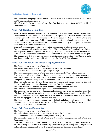- The best referees and judges will be invited as official referees to participate in the WAKO World and Continental Championships.
- The referees and judges will get their license based on their performance in the WAKO World and Continental championships.

# <span id="page-60-0"></span>**Article 4.2. Coaches Committee**

- WAKO Coaches Committee represent the Coaches during all WAKO Championships and tournaments.
- Chairman of Coaches Committee (IF or continental) or representative (named by the Chairman of Coaches Committee) must be included in decisions about coaches in WAKO World and continental championships and World and continental cups. On the other championships, cups and tournaments Chairman of National Coach Committee of host country or his representative) must be included in decisions about coaches
- Coaches Committee is responsible for education and licencing of all international coaches
- Coaches committee will organize seminars in front of World / Continental Championships and Cups
- The purpose of seminars organized and leaded by Coach committee chairman and members is to teach and spread knowledge, experiences and informing on newest tendencies in kickboxing sport.
- The seminars will deal with each kickboxing discipline according to actual WAKO rules to make sure that all coaches work in way which is important for the WAKO development

# <span id="page-60-1"></span>**Article 4.3. Medical, health and anti-doping committee**

- The Committee has at least three (3) members.
- The leaders take the initiative to organize the work inside the committee.
- It is important that all members of the group speak English.
- The committee meets in front of World Cups and/or Continental / World Championships.
- If necessary, they initiative other meetings, but are requested to meet during events/tournaments.
- Their responsibility is to make sure of all medical rules are followed on the tournaments / championships both according to doctors and medical staff.
- They will make sure that the anti-doping rules are informed and together with the Board of Directors and / or promoter in a championship aim an Anti-Doping control.
- Make sure that WAKO work effectively to eradicate weight reduction problems.
- The Committee work together and report to the Board of Directors.
- The Committee has the power to postpone start of fights if weigh-in are too close to normal start of fights or if the weigh-in are delayed or in other way, kickboxers were not properly informed.
- The Committee has the power to postpone start of fights if all nominated medical staff are not present, full equipped and ready to perform their duty
- The Committee has the power to postpone start of fights if ambulance in adequate number of full equipped vehicles are not present, and ready to perform their duty. Also, they has a power to stop the all fights in the situations mentioned above

# <span id="page-60-2"></span>**Article 4.4. Technical Committee**

- The Committee has at least three (3) members.
- The leader takes the initiative to organize the work inside the Committee.
- It is of importance that the members of the group speak English.
- The committee meets in front of World and Continental Championships and World and Continental cups.
- If necessary, they initiative other meetings, but are requested to meet during events/tournaments.
- Main duty during the tournament is to control using, correctness and proper use of personal safety equipment and other tournament equipment, notice all irregularities and inform Technical director about it.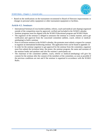

• Based on the notifications on the tournament recommend to Board of Directors improvements or changes in personal safety equipment or other tournament equipment or facilities.

# <span id="page-61-0"></span>**Article 4.5. Seminars**

- International Seminars (Cross border) (athlete, referee, coach and medical-anti-doping) organized outside of the competition must be approved, verified and included in the WAKO calendar.
- Seminar programs must be aligned with the WAKO Educational program and WAKO Rules
- The organizer of the seminar is obliged to announce the seminar in a timely manner, and to get verification and approval from the concerned committee (athlete, coach, referee or medicalantidoping) to hold a seminar.
- Prior to inclusion seminar in the WAKO calendar, the promoter must submit a request for consent to organize an international kickboxing seminar. The application form can be found in appendix 32
- In order for the seminar organizer to get approval for the seminar from the committee, organizer must first submit the invitation letter, the poster, the seminar program, the name and surname of the seminar leader and speakers and who the seminar's participants are.
- The chairman of the committee (athlete, coach, referee or medical-antidoping) will give his consent for the seminar after the consent of the members of the committee, as soon as possible if the previous conditions are met and if the seminar is organized in accordance with the WAKO Rules.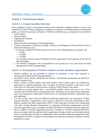# <span id="page-62-0"></span>**Article 5. General provisions**

# <span id="page-62-1"></span>**Article 5.1. Unsportsmanlike behaviour**

If the competitor, coach or non-combat members of the contestant's delegation behave in such a way towards any WAKO Official, delegation, competitor or volunteer, including members of the general public, as to harm the prestige and honour of WAKO and kickboxing, as examples but not limited to

- Verbal Abuse;
- Physical Abuse;
- Inappropriate Gestures;
- Intimidation:
- Obstructing the continuation of the championships
- Trying to manipulate or influence the judge´s decision, the delegation will be penalized in one or both of the following ways:
	- 1. At the sum adopted by WAKO Board of Directors at the championships by majority vote.
		- $\epsilon$  5,000
		- $\in 10,000$
		- $\in 20,000$

The president and the National Federation will be responsible for the payment of the fees for their entourages.

2. The WHOLE delegation will be disqualified for the period up to two years from all future International WAKO Championships.

# <span id="page-62-2"></span>**Article 5.2. Participation of WAKO members in other dissident organizations**

- WAKO members are not permitted or allowed to participate in any other national or international dissident kickboxing organizations.
- All WAKO events, World, Continental and national / international tournaments are reserved to WAKO members only.
- When it relates to North America and South America and in order to give our members the opportunity to organize themselves, they can allow non-WAKO members to take part in their event and vice-versa until a final decision is made by WAKO Board in the future.
- According to previous agreed rules, a non-WAKO member cannot take part in any of the activities where WAKO and its continental division / federation are in charge of the competition and or the competition is held under WAKO and or its continental divisions / federations rules and regulations.
- If in any country, there exists the different kickboxing organization and association, WAKO national federation / organization in that country is allowed to accept the membership of other athletes coming from other organization ONLY if they stop their activities and collaboration with other existing dissident international or continental kickboxing organizations and their national organization if any, according to WAKO and WAKO Continental rules and regulations.
- Once an athlete of another organization becomes a member of a WAKO National Federation, they are no longer allowed to go back to the organization of origin. And in case the athlete returns back or continues their activities or collaboration with a dissident kickboxing organization their membership in WAKO is subject to an immediate and automatic permanent expulsion, without possibility to return.